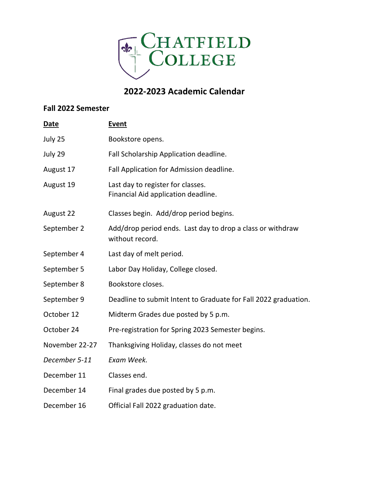

## **2022-2023 Academic Calendar**

## **Fall 2022 Semester**

| <b>Date</b>    | Event                                                                         |
|----------------|-------------------------------------------------------------------------------|
| July 25        | Bookstore opens.                                                              |
| July 29        | Fall Scholarship Application deadline.                                        |
| August 17      | Fall Application for Admission deadline.                                      |
| August 19      | Last day to register for classes.<br>Financial Aid application deadline.      |
| August 22      | Classes begin. Add/drop period begins.                                        |
| September 2    | Add/drop period ends. Last day to drop a class or withdraw<br>without record. |
| September 4    | Last day of melt period.                                                      |
| September 5    | Labor Day Holiday, College closed.                                            |
| September 8    | Bookstore closes.                                                             |
| September 9    | Deadline to submit Intent to Graduate for Fall 2022 graduation.               |
| October 12     | Midterm Grades due posted by 5 p.m.                                           |
| October 24     | Pre-registration for Spring 2023 Semester begins.                             |
| November 22-27 | Thanksgiving Holiday, classes do not meet                                     |
| December 5-11  | Exam Week.                                                                    |
| December 11    | Classes end.                                                                  |
| December 14    | Final grades due posted by 5 p.m.                                             |
| December 16    | Official Fall 2022 graduation date.                                           |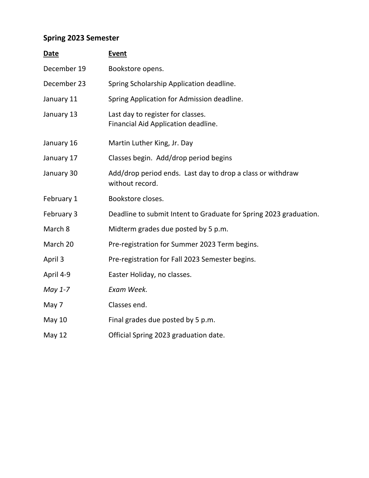## **Spring 2023 Semester**

| Date          | <b>Event</b>                                                                  |
|---------------|-------------------------------------------------------------------------------|
| December 19   | Bookstore opens.                                                              |
| December 23   | Spring Scholarship Application deadline.                                      |
| January 11    | Spring Application for Admission deadline.                                    |
| January 13    | Last day to register for classes.<br>Financial Aid Application deadline.      |
| January 16    | Martin Luther King, Jr. Day                                                   |
| January 17    | Classes begin. Add/drop period begins                                         |
| January 30    | Add/drop period ends. Last day to drop a class or withdraw<br>without record. |
| February 1    | Bookstore closes.                                                             |
| February 3    | Deadline to submit Intent to Graduate for Spring 2023 graduation.             |
| March 8       | Midterm grades due posted by 5 p.m.                                           |
| March 20      | Pre-registration for Summer 2023 Term begins.                                 |
| April 3       | Pre-registration for Fall 2023 Semester begins.                               |
| April 4-9     | Easter Holiday, no classes.                                                   |
| May 1-7       | Exam Week.                                                                    |
| May 7         | Classes end.                                                                  |
| <b>May 10</b> | Final grades due posted by 5 p.m.                                             |
| May 12        | Official Spring 2023 graduation date.                                         |